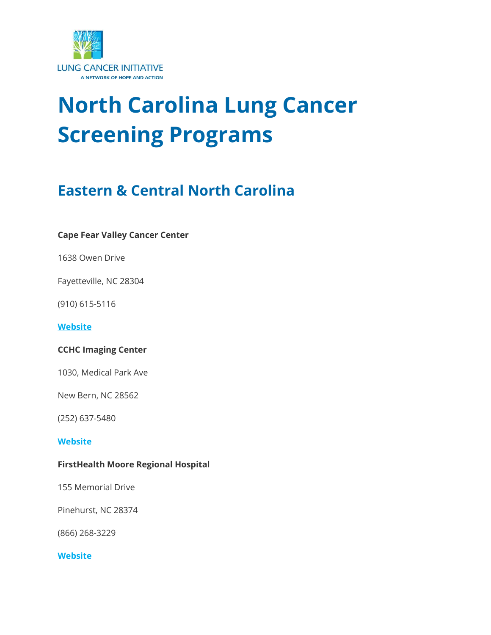

# **North Carolina Lung Cancer Screening Programs**

# **Eastern & Central North Carolina**

#### **Cape Fear Valley Cancer Center**

1638 Owen Drive

Fayetteville, NC 28304

(910) 615-5116

**[Website](http://www.capefearvalley.com/cancer/lungnoduleclinic.html)**

#### **CCHC Imaging Center**

1030, Medical Park Ave

New Bern, NC 28562

(252) 637-5480

#### **[Website](http://www.cchchealthcare.com/)**

#### **FirstHealth Moore Regional Hospital**

155 Memorial Drive

Pinehurst, NC 28374

(866) 268-3229

#### **[Website](http://www.firsthealth.org/lungcancerscreening)**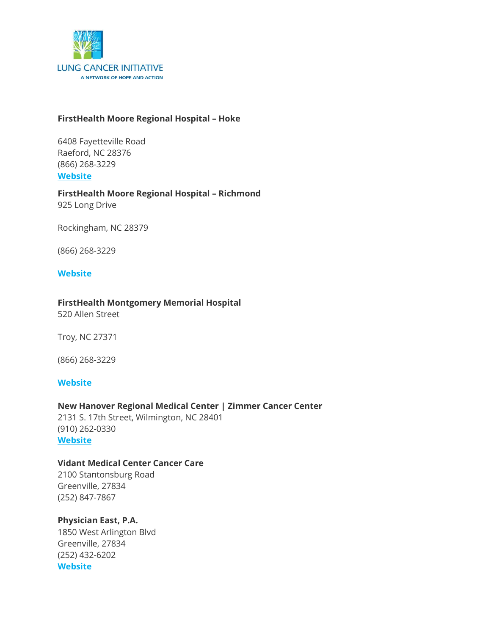

#### **FirstHealth Moore Regional Hospital – Hoke**

6408 Fayetteville Road Raeford, NC 28376 (866) 268-3229 **[Website](http://www.firsthealth.org/lungcancerscreening)**

#### **FirstHealth Moore Regional Hospital – Richmond** 925 Long Drive

Rockingham, NC 28379

(866) 268-3229

#### **[Website](http://www.firsthealth.org/lungcancerscreening)**

#### **FirstHealth Montgomery Memorial Hospital**

520 Allen Street

Troy, NC 27371

(866) 268-3229

#### **[Website](http://www.firsthealth.org/lungcancerscreening)**

#### **New Hanover Regional Medical Center | Zimmer Cancer Center**

2131 S. 17th Street, Wilmington, NC 28401 (910) 262-0330 **[Website](http://www.nhrmc.org/lung-cancer-screening)**

#### **Vidant Medical Center Cancer Care**

2100 Stantonsburg Road Greenville, 27834 (252) 847-7867

#### **Physician East, P.A.**

1850 West Arlington Blvd Greenville, 27834 (252) 432-6202 **[Website](http://www.physicianseast.com/)**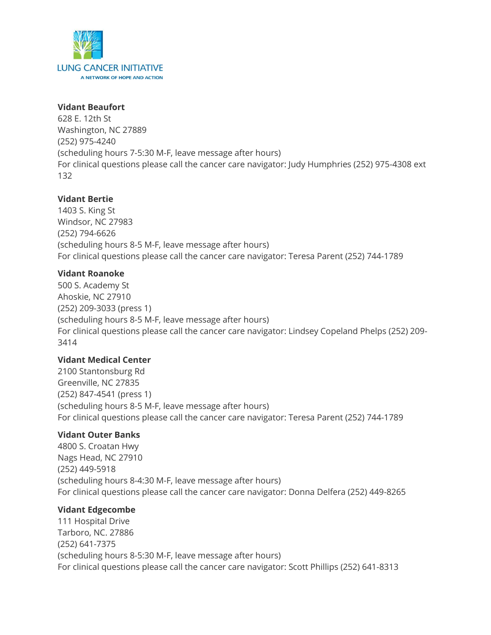

#### **Vidant Beaufort**

628 E. 12th St Washington, NC 27889 (252) 975-4240 (scheduling hours 7-5:30 M-F, leave message after hours) For clinical questions please call the cancer care navigator: Judy Humphries (252) 975-4308 ext 132

#### **Vidant Bertie**

1403 S. King St Windsor, NC 27983 (252) 794-6626 (scheduling hours 8-5 M-F, leave message after hours) For clinical questions please call the cancer care navigator: Teresa Parent (252) 744-1789

#### **Vidant Roanoke**

500 S. Academy St Ahoskie, NC 27910 (252) 209-3033 (press 1) (scheduling hours 8-5 M-F, leave message after hours) For clinical questions please call the cancer care navigator: Lindsey Copeland Phelps (252) 209- 3414

#### **Vidant Medical Center**

2100 Stantonsburg Rd Greenville, NC 27835 (252) 847-4541 (press 1) (scheduling hours 8-5 M-F, leave message after hours) For clinical questions please call the cancer care navigator: Teresa Parent (252) 744-1789

#### **Vidant Outer Banks**

4800 S. Croatan Hwy Nags Head, NC 27910 (252) 449-5918 (scheduling hours 8-4:30 M-F, leave message after hours) For clinical questions please call the cancer care navigator: Donna Delfera (252) 449-8265

#### **Vidant Edgecombe**

111 Hospital Drive Tarboro, NC. 27886 (252) 641-7375 (scheduling hours 8-5:30 M-F, leave message after hours) For clinical questions please call the cancer care navigator: Scott Phillips (252) 641-8313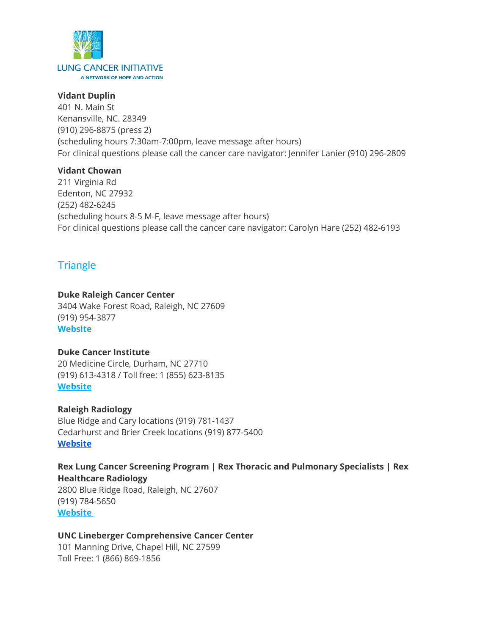

#### **Vidant Duplin**

401 N. Main St Kenansville, NC. 28349 (910) 296-8875 (press 2) (scheduling hours 7:30am-7:00pm, leave message after hours) For clinical questions please call the cancer care navigator: Jennifer Lanier (910) 296-2809

#### **Vidant Chowan**

211 Virginia Rd Edenton, NC 27932 (252) 482-6245 (scheduling hours 8-5 M-F, leave message after hours) For clinical questions please call the cancer care navigator: Carolyn Hare (252) 482-6193

## **Triangle**

#### **Duke Raleigh Cancer Center**

3404 Wake Forest Road, Raleigh, NC 27609 (919) 954-3877 **[Website](http://www.dukeraleighhospital.org/healthservices/cancer-center/treatments/lung-cancer-screening-clinic)**

#### **Duke Cancer Institute**

20 Medicine Circle, Durham, NC 27710 (919) 613-4318 / Toll free: 1 (855) 623-8135 **[Website](https://www.dukehealth.org/locations/duke-cancer-center)**

#### **Raleigh Radiology**

Blue Ridge and Cary locations (919) 781-1437 Cedarhurst and Brier Creek locations (919) 877-5400 **[Website](https://www.raleighrad.com/services/ct-scan/low-dose-ct-lung-screening/#:~:text=The%20CT%20Lung%20Screening%20is,during%20a%20single%20breath%2Dhold.)**

#### **Rex Lung Cancer Screening Program | Rex Thoracic and Pulmonary Specialists | Rex Healthcare Radiology**

2800 Blue Ridge Road, Raleigh, NC 27607 (919) 784-5650 **[Website](http://www.rexhealth.com/lung-screening)**

#### **UNC Lineberger Comprehensive Cancer Center**

101 Manning Drive, Chapel Hill, NC 27599 Toll Free: 1 (866) 869-1856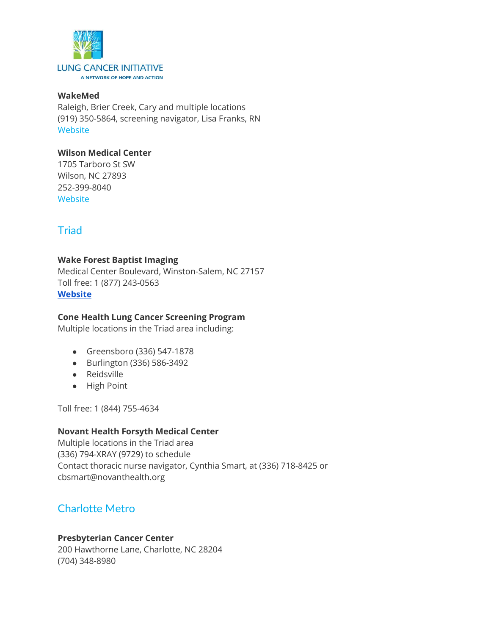

#### **WakeMed**

Raleigh, Brier Creek, Cary and multiple locations (919) 350-5864, screening navigator, Lisa Franks, RN **[Website](https://www.wakemed.org/lung-and-chest-health-ct-for-lung-cancer-screening)** 

#### **Wilson Medical Center**

1705 Tarboro St SW Wilson, NC 27893 252-399-8040 **[Website](https://www.wilsonmedical.com/)** 

# **Triad**

#### **Wake Forest Baptist Imaging**

Medical Center Boulevard, Winston-Salem, NC 27157 Toll free: 1 (877) 243-0563 **[Website](https://www.wakehealth.edu/Diagnostic-Tools/Low-Dose-CT-Lung-Screening#:~:text=Lung%20Cancer%20Screening%20Program%20for,care%20if%20cancer%20is%20found.)**

#### **Cone Health Lung Cancer Screening Program**

Multiple locations in the Triad area including:

- Greensboro (336) 547-1878
- Burlington (336) 586-3492
- Reidsville
- High Point

Toll free: 1 (844) 755-4634

#### **Novant Health Forsyth Medical Center**

Multiple locations in the Triad area (336) 794-XRAY (9729) to schedule Contact thoracic nurse navigator, Cynthia Smart, at (336) 718-8425 or cbsmart@novanthealth.org

## Charlotte Metro

#### **Presbyterian Cancer Center**

200 Hawthorne Lane, Charlotte, NC 28204 (704) 348-8980